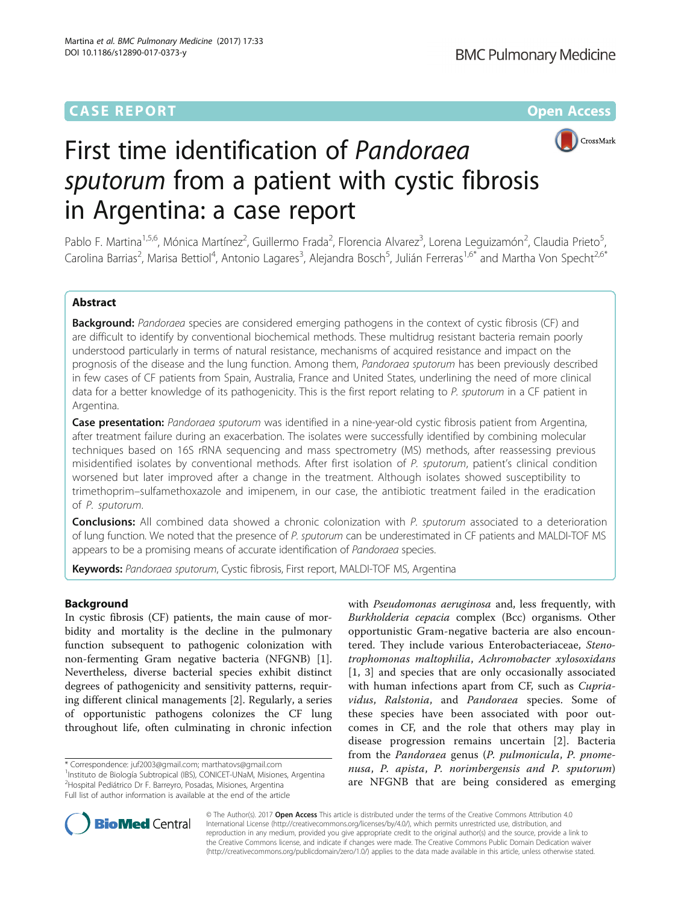## **CASE REPORT CASE REPORT CASE REPORT**



# First time identification of Pandoraea sputorum from a patient with cystic fibrosis in Argentina: a case report

Pablo F. Martina<sup>1,5,6</sup>, Mónica Martínez<sup>2</sup>, Guillermo Frada<sup>2</sup>, Florencia Alvarez<sup>3</sup>, Lorena Leguizamón<sup>2</sup>, Claudia Prieto<sup>5</sup> , Carolina Barrias<sup>2</sup>, Marisa Bettiol<sup>4</sup>, Antonio Lagares<sup>3</sup>, Alejandra Bosch<sup>5</sup>, Julián Ferreras<sup>1,6\*</sup> and Martha Von Specht<sup>2,6\*</sup>

## Abstract

Background: Pandoraea species are considered emerging pathogens in the context of cystic fibrosis (CF) and are difficult to identify by conventional biochemical methods. These multidrug resistant bacteria remain poorly understood particularly in terms of natural resistance, mechanisms of acquired resistance and impact on the prognosis of the disease and the lung function. Among them, Pandoraea sputorum has been previously described in few cases of CF patients from Spain, Australia, France and United States, underlining the need of more clinical data for a better knowledge of its pathogenicity. This is the first report relating to P. sputorum in a CF patient in Argentina.

Case presentation: Pandoraea sputorum was identified in a nine-year-old cystic fibrosis patient from Argentina, after treatment failure during an exacerbation. The isolates were successfully identified by combining molecular techniques based on 16S rRNA sequencing and mass spectrometry (MS) methods, after reassessing previous misidentified isolates by conventional methods. After first isolation of P. sputorum, patient's clinical condition worsened but later improved after a change in the treatment. Although isolates showed susceptibility to trimethoprim–sulfamethoxazole and imipenem, in our case, the antibiotic treatment failed in the eradication of P. sputorum.

**Conclusions:** All combined data showed a chronic colonization with P. sputorum associated to a deterioration of lung function. We noted that the presence of P. sputorum can be underestimated in CF patients and MALDI-TOF MS appears to be a promising means of accurate identification of Pandoraea species.

Keywords: Pandoraea sputorum, Cystic fibrosis, First report, MALDI-TOF MS, Argentina

## Background

In cystic fibrosis (CF) patients, the main cause of morbidity and mortality is the decline in the pulmonary function subsequent to pathogenic colonization with non-fermenting Gram negative bacteria (NFGNB) [\[1](#page-4-0)]. Nevertheless, diverse bacterial species exhibit distinct degrees of pathogenicity and sensitivity patterns, requiring different clinical managements [\[2](#page-4-0)]. Regularly, a series of opportunistic pathogens colonizes the CF lung throughout life, often culminating in chronic infection

\* Correspondence: [juf2003@gmail.com](mailto:juf2003@gmail.com); [marthatovs@gmail.com](mailto:marthatovs@gmail.com) <sup>1</sup>

<sup>1</sup>Instituto de Biología Subtropical (IBS), CONICET-UNaM, Misiones, Argentina 2 Hospital Pediátrico Dr F. Barreyro, Posadas, Misiones, Argentina

Full list of author information is available at the end of the article

with Pseudomonas aeruginosa and, less frequently, with Burkholderia cepacia complex (Bcc) organisms. Other opportunistic Gram-negative bacteria are also encountered. They include various Enterobacteriaceae, Stenotrophomonas maltophilia, Achromobacter xylosoxidans [[1, 3](#page-4-0)] and species that are only occasionally associated with human infections apart from CF, such as *Cupria*vidus, Ralstonia, and Pandoraea species. Some of these species have been associated with poor outcomes in CF, and the role that others may play in disease progression remains uncertain [\[2](#page-4-0)]. Bacteria from the Pandoraea genus (P. pulmonicula, P. pnomenusa, P. apista, P. norimbergensis and P. sputorum) are NFGNB that are being considered as emerging



© The Author(s). 2017 **Open Access** This article is distributed under the terms of the Creative Commons Attribution 4.0 International License [\(http://creativecommons.org/licenses/by/4.0/](http://creativecommons.org/licenses/by/4.0/)), which permits unrestricted use, distribution, and reproduction in any medium, provided you give appropriate credit to the original author(s) and the source, provide a link to the Creative Commons license, and indicate if changes were made. The Creative Commons Public Domain Dedication waiver [\(http://creativecommons.org/publicdomain/zero/1.0/](http://creativecommons.org/publicdomain/zero/1.0/)) applies to the data made available in this article, unless otherwise stated.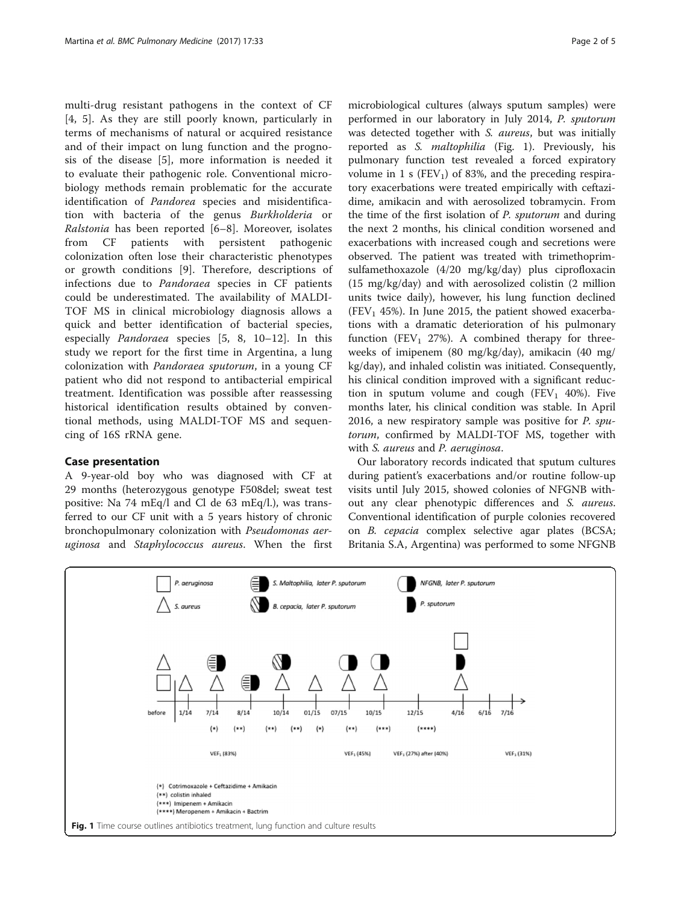multi-drug resistant pathogens in the context of CF [[4, 5](#page-4-0)]. As they are still poorly known, particularly in terms of mechanisms of natural or acquired resistance and of their impact on lung function and the prognosis of the disease [\[5](#page-4-0)], more information is needed it to evaluate their pathogenic role. Conventional microbiology methods remain problematic for the accurate identification of Pandorea species and misidentification with bacteria of the genus Burkholderia or Ralstonia has been reported [[6](#page-4-0)–[8](#page-4-0)]. Moreover, isolates from CF patients with persistent pathogenic colonization often lose their characteristic phenotypes or growth conditions [[9](#page-4-0)]. Therefore, descriptions of infections due to Pandoraea species in CF patients could be underestimated. The availability of MALDI-TOF MS in clinical microbiology diagnosis allows a quick and better identification of bacterial species, especially Pandoraea species [[5, 8, 10](#page-4-0)–[12\]](#page-4-0). In this study we report for the first time in Argentina, a lung colonization with Pandoraea sputorum, in a young CF patient who did not respond to antibacterial empirical treatment. Identification was possible after reassessing historical identification results obtained by conventional methods, using MALDI-TOF MS and sequencing of 16S rRNA gene.

## Case presentation

A 9-year-old boy who was diagnosed with CF at 29 months (heterozygous genotype F508del; sweat test positive: Na 74 mEq/l and Cl de 63 mEq/l.), was transferred to our CF unit with a 5 years history of chronic bronchopulmonary colonization with Pseudomonas aeruginosa and Staphylococcus aureus. When the first

microbiological cultures (always sputum samples) were performed in our laboratory in July 2014, P. sputorum was detected together with S. aureus, but was initially reported as S. maltophilia (Fig. 1). Previously, his pulmonary function test revealed a forced expiratory volume in 1 s ( $FEV<sub>1</sub>$ ) of 83%, and the preceding respiratory exacerbations were treated empirically with ceftazidime, amikacin and with aerosolized tobramycin. From the time of the first isolation of P. sputorum and during the next 2 months, his clinical condition worsened and exacerbations with increased cough and secretions were observed. The patient was treated with trimethoprimsulfamethoxazole (4/20 mg/kg/day) plus ciprofloxacin (15 mg/kg/day) and with aerosolized colistin (2 million units twice daily), however, his lung function declined (FEV<sub>1</sub> 45%). In June 2015, the patient showed exacerbations with a dramatic deterioration of his pulmonary function (FEV<sub>1</sub> 27%). A combined therapy for threeweeks of imipenem (80 mg/kg/day), amikacin (40 mg/ kg/day), and inhaled colistin was initiated. Consequently, his clinical condition improved with a significant reduction in sputum volume and cough (FEV<sub>1</sub> 40%). Five months later, his clinical condition was stable. In April 2016, a new respiratory sample was positive for P. sputorum, confirmed by MALDI-TOF MS, together with with S. aureus and P. aeruginosa.

Our laboratory records indicated that sputum cultures during patient's exacerbations and/or routine follow-up visits until July 2015, showed colonies of NFGNB without any clear phenotypic differences and S. aureus. Conventional identification of purple colonies recovered on B. cepacia complex selective agar plates (BCSA; Britania S.A, Argentina) was performed to some NFGNB

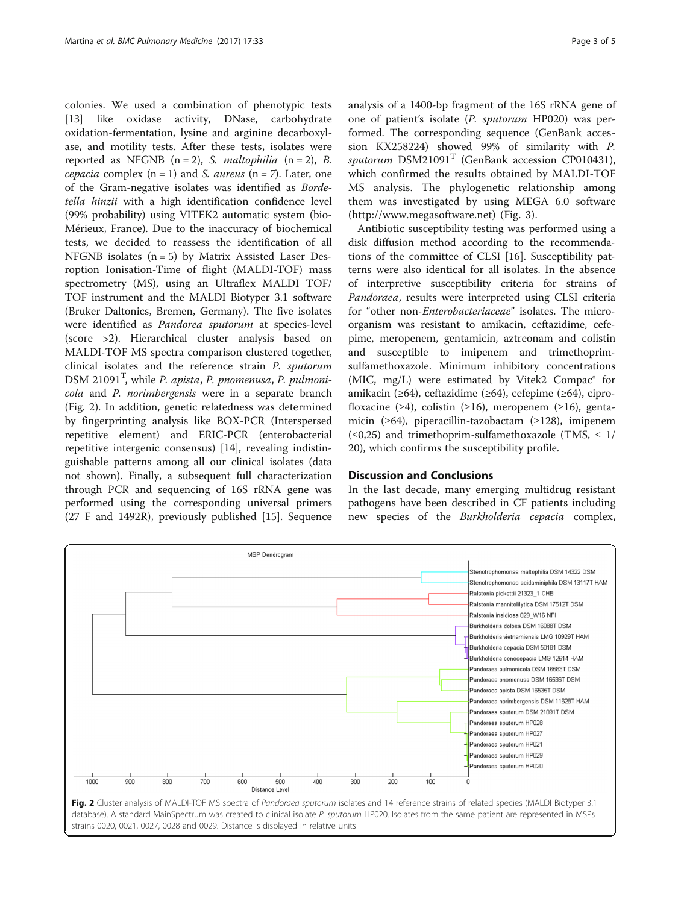colonies. We used a combination of phenotypic tests [[13\]](#page-4-0) like oxidase activity, DNase, carbohydrate oxidation-fermentation, lysine and arginine decarboxylase, and motility tests. After these tests, isolates were reported as NFGNB  $(n = 2)$ , *S. maltophilia*  $(n = 2)$ , *B. cepacia* complex  $(n = 1)$  and *S. aureus*  $(n = 7)$ . Later, one of the Gram-negative isolates was identified as Bordetella hinzii with a high identification confidence level (99% probability) using VITEK2 automatic system (bio-Mérieux, France). Due to the inaccuracy of biochemical tests, we decided to reassess the identification of all NFGNB isolates  $(n = 5)$  by Matrix Assisted Laser Desroption Ionisation-Time of flight (MALDI-TOF) mass spectrometry (MS), using an Ultraflex MALDI TOF/ TOF instrument and the MALDI Biotyper 3.1 software (Bruker Daltonics, Bremen, Germany). The five isolates were identified as Pandorea sputorum at species-level (score >2). Hierarchical cluster analysis based on MALDI-TOF MS spectra comparison clustered together, clinical isolates and the reference strain P. sputorum  $DSM$   $21091<sup>T</sup>$ , while *P. apista*, *P. pnomenusa*, *P. pulmoni*cola and P. norimbergensis were in a separate branch (Fig. 2). In addition, genetic relatedness was determined by fingerprinting analysis like BOX-PCR (Interspersed repetitive element) and ERIC-PCR (enterobacterial repetitive intergenic consensus) [[14\]](#page-4-0), revealing indistinguishable patterns among all our clinical isolates (data not shown). Finally, a subsequent full characterization through PCR and sequencing of 16S rRNA gene was performed using the corresponding universal primers (27 F and 1492R), previously published [\[15](#page-4-0)]. Sequence analysis of a 1400-bp fragment of the 16S rRNA gene of one of patient's isolate (P. sputorum HP020) was performed. The corresponding sequence (GenBank accession KX258224) showed 99% of similarity with P. sputorum  $DSM21091<sup>T</sup>$  (GenBank accession CP010431), which confirmed the results obtained by MALDI-TOF MS analysis. The phylogenetic relationship among them was investigated by using MEGA 6.0 software (<http://www.megasoftware.net>) (Fig. [3\)](#page-3-0).

Antibiotic susceptibility testing was performed using a disk diffusion method according to the recommendations of the committee of CLSI [\[16\]](#page-4-0). Susceptibility patterns were also identical for all isolates. In the absence of interpretive susceptibility criteria for strains of Pandoraea, results were interpreted using CLSI criteria for "other non-Enterobacteriaceae" isolates. The microorganism was resistant to amikacin, ceftazidime, cefepime, meropenem, gentamicin, aztreonam and colistin and susceptible to imipenem and trimethoprimsulfamethoxazole. Minimum inhibitory concentrations (MIC, mg/L) were estimated by Vitek2 Compac® for amikacin (≥64), ceftazidime (≥64), cefepime (≥64), ciprofloxacine (≥4), colistin (≥16), meropenem (≥16), gentamicin (≥64), piperacillin-tazobactam (≥128), imipenem  $(\leq 0.25)$  and trimethoprim-sulfamethoxazole (TMS,  $\leq 1/$ ) 20), which confirms the susceptibility profile.

### Discussion and Conclusions

In the last decade, many emerging multidrug resistant pathogens have been described in CF patients including new species of the Burkholderia cepacia complex,

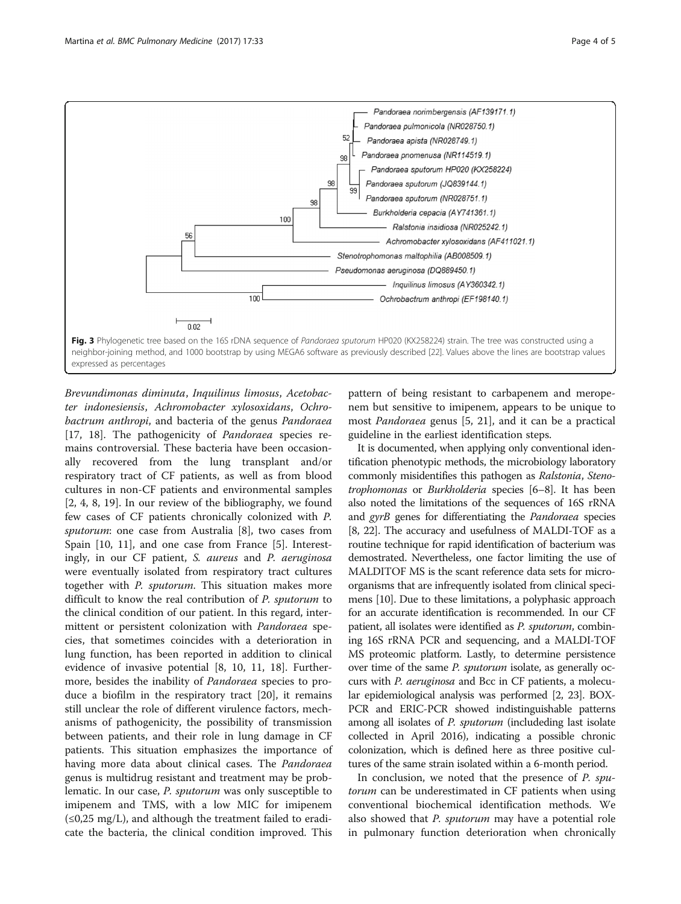<span id="page-3-0"></span>

Brevundimonas diminuta, Inquilinus limosus, Acetobacter indonesiensis, Achromobacter xylosoxidans, Ochrobactrum anthropi, and bacteria of the genus Pandoraea [[17, 18](#page-4-0)]. The pathogenicity of *Pandoraea* species remains controversial. These bacteria have been occasionally recovered from the lung transplant and/or respiratory tract of CF patients, as well as from blood cultures in non-CF patients and environmental samples [[2, 4](#page-4-0), [8](#page-4-0), [19\]](#page-4-0). In our review of the bibliography, we found few cases of CF patients chronically colonized with P. sputorum: one case from Australia [\[8](#page-4-0)], two cases from Spain [[10, 11\]](#page-4-0), and one case from France [\[5](#page-4-0)]. Interestingly, in our CF patient, S. aureus and P. aeruginosa were eventually isolated from respiratory tract cultures together with P. sputorum. This situation makes more difficult to know the real contribution of P. sputorum to the clinical condition of our patient. In this regard, intermittent or persistent colonization with Pandoraea species, that sometimes coincides with a deterioration in lung function, has been reported in addition to clinical evidence of invasive potential [[8, 10, 11](#page-4-0), [18](#page-4-0)]. Furthermore, besides the inability of Pandoraea species to produce a biofilm in the respiratory tract [\[20](#page-4-0)], it remains still unclear the role of different virulence factors, mechanisms of pathogenicity, the possibility of transmission between patients, and their role in lung damage in CF patients. This situation emphasizes the importance of having more data about clinical cases. The Pandoraea genus is multidrug resistant and treatment may be problematic. In our case, *P. sputorum* was only susceptible to imipenem and TMS, with a low MIC for imipenem  $(\leq 0.25 \text{ mg/L})$ , and although the treatment failed to eradicate the bacteria, the clinical condition improved. This

pattern of being resistant to carbapenem and meropenem but sensitive to imipenem, appears to be unique to most Pandoraea genus [[5, 21](#page-4-0)], and it can be a practical guideline in the earliest identification steps.

It is documented, when applying only conventional identification phenotypic methods, the microbiology laboratory commonly misidentifies this pathogen as Ralstonia, Stenotrophomonas or Burkholderia species [[6](#page-4-0)–[8](#page-4-0)]. It has been also noted the limitations of the sequences of 16S rRNA and gyrB genes for differentiating the Pandoraea species [[8](#page-4-0), [22\]](#page-4-0). The accuracy and usefulness of MALDI-TOF as a routine technique for rapid identification of bacterium was demostrated. Nevertheless, one factor limiting the use of MALDITOF MS is the scant reference data sets for microorganisms that are infrequently isolated from clinical specimens [[10](#page-4-0)]. Due to these limitations, a polyphasic approach for an accurate identification is recommended. In our CF patient, all isolates were identified as P. sputorum, combining 16S rRNA PCR and sequencing, and a MALDI-TOF MS proteomic platform. Lastly, to determine persistence over time of the same P. sputorum isolate, as generally occurs with P. aeruginosa and Bcc in CF patients, a molecular epidemiological analysis was performed [\[2, 23](#page-4-0)]. BOX-PCR and ERIC-PCR showed indistinguishable patterns among all isolates of *P. sputorum* (includeding last isolate collected in April 2016), indicating a possible chronic colonization, which is defined here as three positive cultures of the same strain isolated within a 6-month period.

In conclusion, we noted that the presence of P. sputorum can be underestimated in CF patients when using conventional biochemical identification methods. We also showed that *P. sputorum* may have a potential role in pulmonary function deterioration when chronically